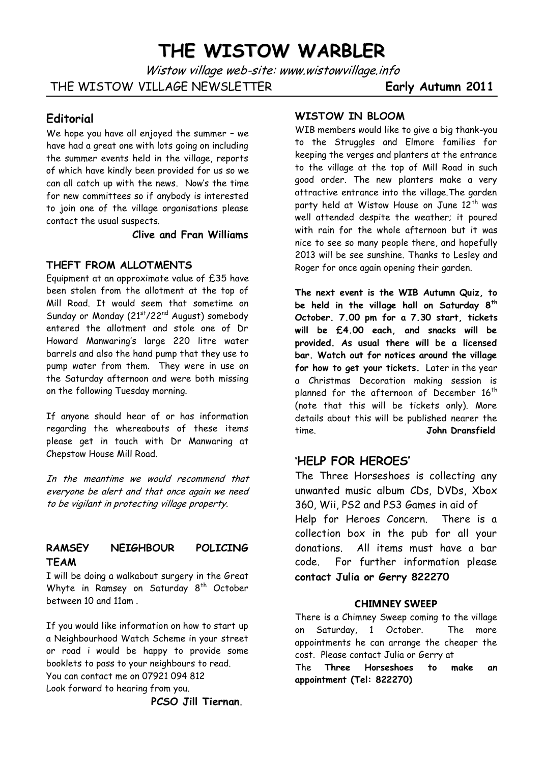# **THE WISTOW WARBLER**

Wistow village web-site: www.wistowvillage.info THE WISTOW VILLAGE NEWSLETTER **Early Autumn 2011**

## **Editorial**

We hope you have all enjoyed the summer – we have had a great one with lots going on including the summer events held in the village, reports of which have kindly been provided for us so we can all catch up with the news. Now"s the time for new committees so if anybody is interested to join one of the village organisations please contact the usual suspects.

**Clive and Fran Williams**

#### **THEFT FROM ALLOTMENTS**

Equipment at an approximate value of £35 have been stolen from the allotment at the top of Mill Road. It would seem that sometime on Sunday or Monday (21st/22<sup>nd</sup> August) somebody entered the allotment and stole one of Dr Howard Manwaring"s large 220 litre water barrels and also the hand pump that they use to pump water from them. They were in use on the Saturday afternoon and were both missing on the following Tuesday morning.

If anyone should hear of or has information regarding the whereabouts of these items please get in touch with Dr Manwaring at Chepstow House Mill Road.

In the meantime we would recommend that everyone be alert and that once again we need to be vigilant in protecting village property.

#### **RAMSEY NEIGHBOUR POLICING TEAM**

I will be doing a walkabout surgery in the Great Whyte in Ramsey on Saturday 8<sup>th</sup> October between 10 and 11am .

If you would like information on how to start up a Neighbourhood Watch Scheme in your street or road i would be happy to provide some booklets to pass to your neighbours to read. You can contact me on 07921 094 812 Look forward to hearing from you.

**PCSO Jill Tiernan**.

#### **WISTOW IN BLOOM**

WIB members would like to give a big thank-you to the Struggles and Elmore families for keeping the verges and planters at the entrance to the village at the top of Mill Road in such good order. The new planters make a very attractive entrance into the village.The garden party held at Wistow House on June 12<sup>th</sup> was well attended despite the weather; it poured with rain for the whole afternoon but it was nice to see so many people there, and hopefully 2013 will be see sunshine. Thanks to Lesley and Roger for once again opening their garden.

**The next event is the WIB Autumn Quiz, to be held in the village hall on Saturday 8th October. 7.00 pm for a 7.30 start, tickets will be £4.00 each, and snacks will be provided. As usual there will be a licensed bar. Watch out for notices around the village for how to get your tickets.** Later in the year a Christmas Decoration making session is planned for the afternoon of December 16<sup>th</sup> (note that this will be tickets only). More details about this will be published nearer the time. **John Dransfield**

#### **'HELP FOR HEROES'**

The Three Horseshoes is collecting any unwanted music album CDs, DVDs, Xbox 360, Wii, PS2 and PS3 Games in aid of Help for Heroes Concern. There is a collection box in the pub for all your donations. All items must have a bar code. For further information please **contact Julia or Gerry 822270**

#### **CHIMNEY SWEEP**

There is a Chimney Sweep coming to the village on Saturday, 1 October. The more appointments he can arrange the cheaper the cost. Please contact Julia or Gerry at

The **Three Horseshoes to make an appointment (Tel: 822270)**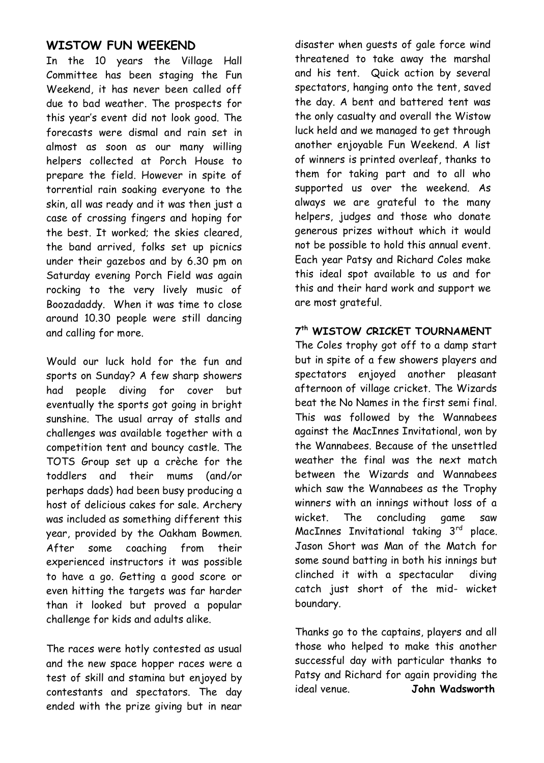#### **WISTOW FUN WEEKEND**

In the 10 years the Village Hall Committee has been staging the Fun Weekend, it has never been called off due to bad weather. The prospects for this year"s event did not look good. The forecasts were dismal and rain set in almost as soon as our many willing helpers collected at Porch House to prepare the field. However in spite of torrential rain soaking everyone to the skin, all was ready and it was then just a case of crossing fingers and hoping for the best. It worked; the skies cleared, the band arrived, folks set up picnics under their gazebos and by 6.30 pm on Saturday evening Porch Field was again rocking to the very lively music of Boozadaddy. When it was time to close around 10.30 people were still dancing and calling for more.

Would our luck hold for the fun and sports on Sunday? A few sharp showers had people diving for cover but eventually the sports got going in bright sunshine. The usual array of stalls and challenges was available together with a competition tent and bouncy castle. The TOTS Group set up a crèche for the toddlers and their mums (and/or perhaps dads) had been busy producing a host of delicious cakes for sale. Archery was included as something different this year, provided by the Oakham Bowmen. After some coaching from their experienced instructors it was possible to have a go. Getting a good score or even hitting the targets was far harder than it looked but proved a popular challenge for kids and adults alike.

The races were hotly contested as usual and the new space hopper races were a test of skill and stamina but enjoyed by contestants and spectators. The day ended with the prize giving but in near

disaster when guests of gale force wind threatened to take away the marshal and his tent. Quick action by several spectators, hanging onto the tent, saved the day. A bent and battered tent was the only casualty and overall the Wistow luck held and we managed to get through another enjoyable Fun Weekend. A list of winners is printed overleaf, thanks to them for taking part and to all who supported us over the weekend. As always we are grateful to the many helpers, judges and those who donate generous prizes without which it would not be possible to hold this annual event. Each year Patsy and Richard Coles make this ideal spot available to us and for this and their hard work and support we are most grateful.

#### **7 th WISTOW CRICKET TOURNAMENT**

The Coles trophy got off to a damp start but in spite of a few showers players and spectators enjoyed another pleasant afternoon of village cricket. The Wizards beat the No Names in the first semi final. This was followed by the Wannabees against the MacInnes Invitational, won by the Wannabees. Because of the unsettled weather the final was the next match between the Wizards and Wannabees which saw the Wannabees as the Trophy winners with an innings without loss of a wicket. The concluding game saw MacInnes Invitational taking 3rd place. Jason Short was Man of the Match for some sound batting in both his innings but clinched it with a spectacular diving catch just short of the mid- wicket boundary.

Thanks go to the captains, players and all those who helped to make this another successful day with particular thanks to Patsy and Richard for again providing the ideal venue. **John Wadsworth**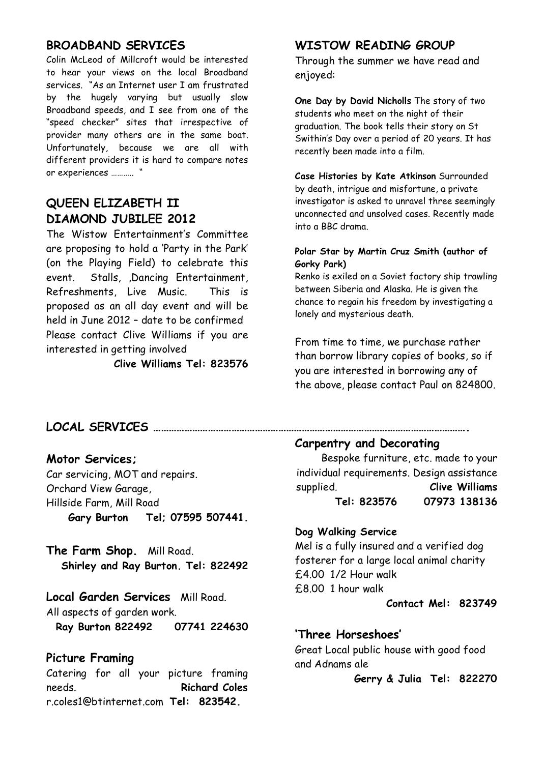#### **BROADBAND SERVICES**

Colin McLeod of Millcroft would be interested to hear your views on the local Broadband services. "As an Internet user I am frustrated by the hugely varying but usually slow Broadband speeds, and I see from one of the "speed checker" sites that irrespective of provider many others are in the same boat. Unfortunately, because we are all with different providers it is hard to compare notes or experiences ……….. "

## **QUEEN ELIZABETH II DIAMOND JUBILEE 2012**

The Wistow Entertainment"s Committee are proposing to hold a "Party in the Park" (on the Playing Field) to celebrate this event. Stalls, ,Dancing Entertainment, Refreshments, Live Music. This is proposed as an all day event and will be held in June 2012 – date to be confirmed Please contact Clive Williams if you are interested in getting involved

#### **Clive Williams Tel: 823576**

#### **WISTOW READING GROUP**

Through the summer we have read and enjoyed:

**One Day by David Nicholls** The story of two students who meet on the night of their graduation. The book tells their story on St Swithin"s Day over a period of 20 years. It has recently been made into a film.

**Case Histories by Kate Atkinson** Surrounded by death, intrigue and misfortune, a private investigator is asked to unravel three seemingly unconnected and unsolved cases. Recently made into a BBC drama.

#### **Polar Star by Martin Cruz Smith (author of Gorky Park)**

Renko is exiled on a Soviet factory ship trawling between Siberia and Alaska. He is given the chance to regain his freedom by investigating a lonely and mysterious death.

From time to time, we purchase rather than borrow library copies of books, so if you are interested in borrowing any of the above, please contact Paul on 824800.

## **LOCAL SERVICES ………………………………………………………………………………………………………….**

#### **Motor Services;**

Car servicing, MOT and repairs. Orchard View Garage, Hillside Farm, Mill Road **Gary Burton Tel; 07595 507441.**

**The Farm Shop.** Mill Road. **Shirley and Ray Burton. Tel: 822492**

**Local Garden Services** Mill Road. All aspects of garden work. **Ray Burton 822492 07741 224630**

#### **Picture Framing**

Catering for all your picture framing needs. **Richard Coles** r.coles1@btinternet.com **Tel: 823542.**

**Carpentry and Decorating**

Bespoke furniture, etc. made to your individual requirements. Design assistance supplied. **Clive Williams Tel: 823576 07973 138136** 

#### **Dog Walking Service**

Mel is a fully insured and a verified dog fosterer for a large local animal charity £4.00 1/2 Hour walk £8.00 1 hour walk

**Contact Mel: 823749**

#### **'Three Horseshoes'**

Great Local public house with good food and Adnams ale

**Gerry & Julia Tel: 822270**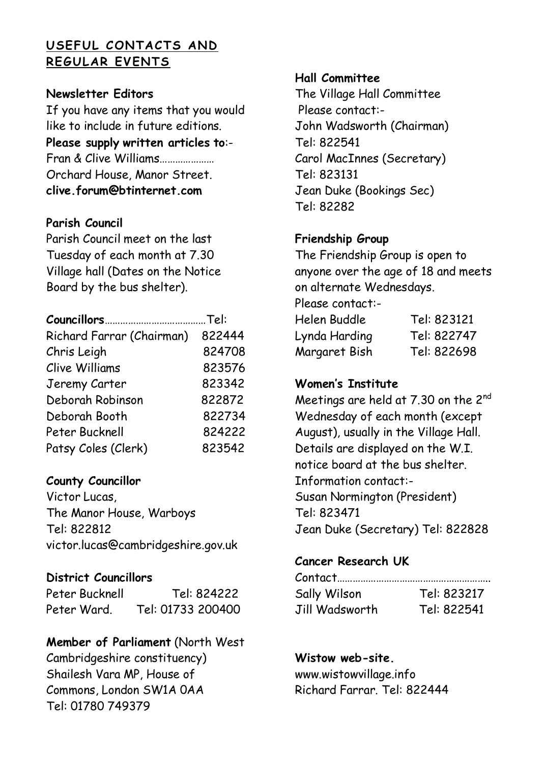## **USEFUL CONTACTS AND REGULAR EVENTS**

## **Newsletter Editors**

If you have any items that you would like to include in future editions. **Please supply written articles to**:- Fran & Clive Williams………………… Orchard House, Manor Street. **[clive.forum@btinternet.com](mailto:clive.forum@btinternet.com)**

## **Parish Council**

Parish Council meet on the last Tuesday of each month at 7.30 Village hall (Dates on the Notice Board by the bus shelter).

| Richard Farrar (Chairman) | 822444 |
|---------------------------|--------|
| Chris Leigh               | 824708 |
| Clive Williams            | 823576 |
| Jeremy Carter             | 823342 |
| Deborah Robinson          | 822872 |
| Deborah Booth             | 822734 |
| Peter Bucknell            | 824222 |
| Patsy Coles (Clerk)       | 823542 |

## **County Councillor**

Victor Lucas, The Manor House, Warboys Tel: 822812 [victor.lucas@cambridgeshire.gov.uk](mailto:victor.lucas@cambridgeshire.gov.uk)

## **District Councillors**

| Peter Bucknell | Tel: 824222       |
|----------------|-------------------|
| Peter Ward.    | Tel: 01733 200400 |

## **Member of Parliament** (North West

Cambridgeshire constituency) Shailesh Vara MP, House of Commons, London SW1A 0AA Tel: 01780 749379

## **Hall Committee**

The Village Hall Committee Please contact:- John Wadsworth (Chairman) Tel: 822541 Carol MacInnes (Secretary) Tel: 823131 Jean Duke (Bookings Sec) Tel: 82282

## **Friendship Group**

The Friendship Group is open to anyone over the age of 18 and meets on alternate Wednesdays.

Please contact:-

| Helen Buddle  | Tel: 823121 |
|---------------|-------------|
| Lynda Harding | Tel: 822747 |
| Margaret Bish | Tel: 822698 |

## **Women's Institute**

Meetings are held at 7.30 on the 2<sup>nd</sup> Wednesday of each month (except August), usually in the Village Hall. Details are displayed on the W.I. notice board at the bus shelter. Information contact:- Susan Normington (President) Tel: 823471 Jean Duke (Secretary) Tel: 822828

## **Cancer Research UK**

| Sally Wilson   | Tel: 823217 |
|----------------|-------------|
| Jill Wadsworth | Tel: 822541 |

## **Wistow web-site.**

[www.wistowvillage.info](http://www.wistowvillage.info/) Richard Farrar. Tel: 822444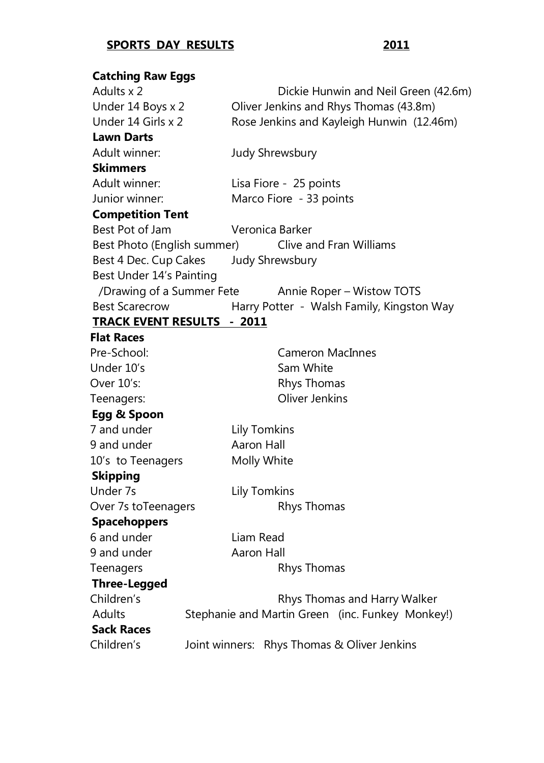## **SPORTS DAY RESULTS** 2011

| <b>Catching Raw Eggs</b>          |                                                  |  |
|-----------------------------------|--------------------------------------------------|--|
| Adults x 2                        | Dickie Hunwin and Neil Green (42.6m)             |  |
| Under 14 Boys x 2                 | Oliver Jenkins and Rhys Thomas (43.8m)           |  |
| Under 14 Girls x 2                | Rose Jenkins and Kayleigh Hunwin (12.46m)        |  |
| <b>Lawn Darts</b>                 |                                                  |  |
| Adult winner:                     | Judy Shrewsbury                                  |  |
| <b>Skimmers</b>                   |                                                  |  |
| Adult winner:                     | Lisa Fiore - 25 points                           |  |
| Junior winner:                    | Marco Fiore - 33 points                          |  |
| <b>Competition Tent</b>           |                                                  |  |
| Best Pot of Jam                   | Veronica Barker                                  |  |
| Best Photo (English summer)       | Clive and Fran Williams                          |  |
| Best 4 Dec. Cup Cakes             | Judy Shrewsbury                                  |  |
| Best Under 14's Painting          |                                                  |  |
| /Drawing of a Summer Fete         | Annie Roper - Wistow TOTS                        |  |
| <b>Best Scarecrow</b>             | Harry Potter - Walsh Family, Kingston Way        |  |
| <b>TRACK EVENT RESULTS - 2011</b> |                                                  |  |
| <b>Flat Races</b>                 |                                                  |  |
| Pre-School:                       | <b>Cameron MacInnes</b>                          |  |
| Under 10's                        | Sam White                                        |  |
| Over 10's:                        | Rhys Thomas                                      |  |
| Teenagers:                        | <b>Oliver Jenkins</b>                            |  |
| Egg & Spoon                       |                                                  |  |
| 7 and under                       | <b>Lily Tomkins</b>                              |  |
| 9 and under                       | Aaron Hall                                       |  |
| 10's to Teenagers                 | Molly White                                      |  |
| <b>Skipping</b>                   |                                                  |  |
| Under 7s                          | <b>Lily Tomkins</b>                              |  |
| Over 7s toTeenagers               | Rhys Thomas                                      |  |
| <b>Spacehoppers</b>               |                                                  |  |
| 6 and under                       | Liam Read                                        |  |
| 9 and under                       | Aaron Hall                                       |  |
| Teenagers                         | Rhys Thomas                                      |  |
| <b>Three-Legged</b>               |                                                  |  |
| Children's                        | Rhys Thomas and Harry Walker                     |  |
| Adults                            | Stephanie and Martin Green (inc. Funkey Monkey!) |  |
| <b>Sack Races</b>                 |                                                  |  |
| Children's                        | Joint winners: Rhys Thomas & Oliver Jenkins      |  |
|                                   |                                                  |  |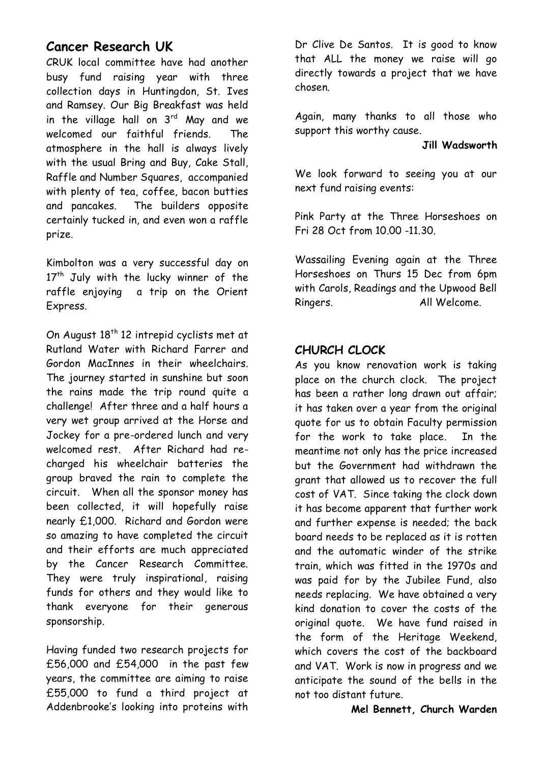## **Cancer Research UK**

CRUK local committee have had another busy fund raising year with three collection days in Huntingdon, St. Ives and Ramsey. Our Big Breakfast was held in the village hall on  $3^{rd}$  May and we welcomed our faithful friends. The atmosphere in the hall is always lively with the usual Bring and Buy, Cake Stall, Raffle and Number Squares, accompanied with plenty of tea, coffee, bacon butties and pancakes. The builders opposite certainly tucked in, and even won a raffle prize.

Kimbolton was a very successful day on 17<sup>th</sup> July with the lucky winner of the raffle enjoying a trip on the Orient Express.

On August 18<sup>th</sup> 12 intrepid cyclists met at Rutland Water with Richard Farrer and Gordon MacInnes in their wheelchairs. The journey started in sunshine but soon the rains made the trip round quite a challenge! After three and a half hours a very wet group arrived at the Horse and Jockey for a pre-ordered lunch and very welcomed rest. After Richard had recharged his wheelchair batteries the group braved the rain to complete the circuit. When all the sponsor money has been collected, it will hopefully raise nearly £1,000. Richard and Gordon were so amazing to have completed the circuit and their efforts are much appreciated by the Cancer Research Committee. They were truly inspirational, raising funds for others and they would like to thank everyone for their generous sponsorship.

Having funded two research projects for £56,000 and £54,000 in the past few years, the committee are aiming to raise £55,000 to fund a third project at Addenbrooke"s looking into proteins with Dr Clive De Santos. It is good to know that ALL the money we raise will go directly towards a project that we have chosen.

Again, many thanks to all those who support this worthy cause.

#### **Jill Wadsworth**

We look forward to seeing you at our next fund raising events:

Pink Party at the Three Horseshoes on Fri 28 Oct from 10.00 -11.30.

Wassailing Evening again at the Three Horseshoes on Thurs 15 Dec from 6pm with Carols, Readings and the Upwood Bell Ringers. All Welcome.

## **CHURCH CLOCK**

As you know renovation work is taking place on the church clock. The project has been a rather long drawn out affair; it has taken over a year from the original quote for us to obtain Faculty permission for the work to take place. In the meantime not only has the price increased but the Government had withdrawn the grant that allowed us to recover the full cost of VAT. Since taking the clock down it has become apparent that further work and further expense is needed; the back board needs to be replaced as it is rotten and the automatic winder of the strike train, which was fitted in the 1970s and was paid for by the Jubilee Fund, also needs replacing. We have obtained a very kind donation to cover the costs of the original quote. We have fund raised in the form of the Heritage Weekend, which covers the cost of the backboard and VAT. Work is now in progress and we anticipate the sound of the bells in the not too distant future.

#### **Mel Bennett, Church Warden**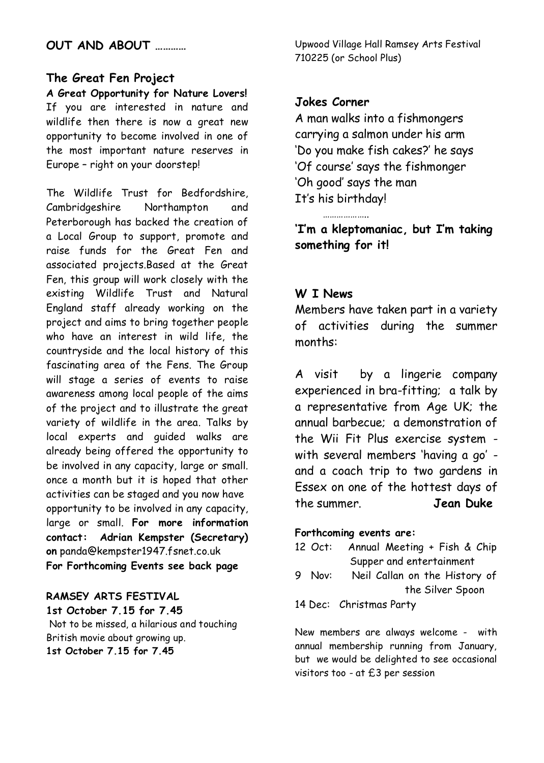## **OUT AND ABOUT …………**

## **The Great Fen Project**

**A Great Opportunity for Nature Lovers!** If you are interested in nature and wildlife then there is now a great new opportunity to become involved in one of the most important nature reserves in Europe – right on your doorstep!

The Wildlife Trust for Bedfordshire, Cambridgeshire Northampton and Peterborough has backed the creation of a Local Group to support, promote and raise funds for the Great Fen and associated projects.Based at the Great Fen, this group will work closely with the existing Wildlife Trust and Natural England staff already working on the project and aims to bring together people who have an interest in wild life, the countryside and the local history of this fascinating area of the Fens. The Group will stage a series of events to raise awareness among local people of the aims of the project and to illustrate the great variety of wildlife in the area. Talks by local experts and guided walks are already being offered the opportunity to be involved in any capacity, large or small. once a month but it is hoped that other activities can be staged and you now have opportunity to be involved in any capacity, large or small. **For more information contact: Adrian Kempster (Secretary) on** panda@kempster1947.fsnet.co.uk **For Forthcoming Events see back page**

**RAMSEY ARTS FESTIVAL**

**1st October 7.15 for 7.45**

Not to be missed, a hilarious and touching British movie about growing up. **1st October 7.15 for 7.45** 

Upwood Village Hall Ramsey Arts Festival 710225 (or School Plus)

#### **Jokes Corner**

………………..

A man walks into a fishmongers carrying a salmon under his arm "Do you make fish cakes?" he says 'Of course' says the fishmonger "Oh good" says the man It"s his birthday!

**'I'm a kleptomaniac, but I'm taking something for it!**

#### **W I News**

Members have taken part in a variety of activities during the summer months:

A visit by a lingerie company experienced in bra-fitting; a talk by a representative from Age UK; the annual barbecue; a demonstration of the Wii Fit Plus exercise system with several members "having a go" and a coach trip to two gardens in Essex on one of the hottest days of the summer. **Jean Duke**

#### **Forthcoming events are:**

- 12 Oct: Annual Meeting + Fish & Chip Supper and entertainment
- 9 Nov: Neil Callan on the History of the Silver Spoon

14 Dec: Christmas Party

New members are always welcome - with annual membership running from January, but we would be delighted to see occasional visitors too - at £3 per session